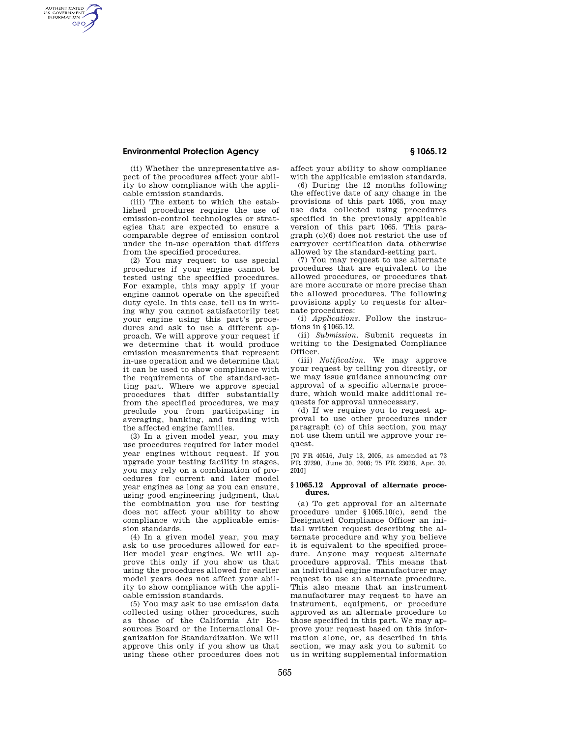## **Environmental Protection Agency § 1065.12**

AUTHENTICATED<br>U.S. GOVERNMENT<br>INFORMATION **GPO** 

> (ii) Whether the unrepresentative aspect of the procedures affect your ability to show compliance with the applicable emission standards.

> (iii) The extent to which the established procedures require the use of emission-control technologies or strategies that are expected to ensure a comparable degree of emission control under the in-use operation that differs from the specified procedures.

(2) You may request to use special procedures if your engine cannot be tested using the specified procedures. For example, this may apply if your engine cannot operate on the specified duty cycle. In this case, tell us in writing why you cannot satisfactorily test your engine using this part's procedures and ask to use a different approach. We will approve your request if we determine that it would produce emission measurements that represent in-use operation and we determine that it can be used to show compliance with the requirements of the standard-setting part. Where we approve special procedures that differ substantially from the specified procedures, we may preclude you from participating in averaging, banking, and trading with the affected engine families.

(3) In a given model year, you may use procedures required for later model year engines without request. If you upgrade your testing facility in stages, you may rely on a combination of procedures for current and later model year engines as long as you can ensure, using good engineering judgment, that the combination you use for testing does not affect your ability to show compliance with the applicable emission standards.

(4) In a given model year, you may ask to use procedures allowed for earlier model year engines. We will approve this only if you show us that using the procedures allowed for earlier model years does not affect your ability to show compliance with the applicable emission standards.

(5) You may ask to use emission data collected using other procedures, such as those of the California Air Resources Board or the International Organization for Standardization. We will approve this only if you show us that using these other procedures does not affect your ability to show compliance with the applicable emission standards.

(6) During the 12 months following the effective date of any change in the provisions of this part 1065, you may use data collected using procedures specified in the previously applicable version of this part 1065. This paragraph (c)(6) does not restrict the use of carryover certification data otherwise allowed by the standard-setting part.

(7) You may request to use alternate procedures that are equivalent to the allowed procedures, or procedures that are more accurate or more precise than the allowed procedures. The following provisions apply to requests for alternate procedures:

(i) *Applications.* Follow the instructions in §1065.12.

(ii) *Submission.* Submit requests in writing to the Designated Compliance Officer.

(iii) *Notification.* We may approve your request by telling you directly, or we may issue guidance announcing our approval of a specific alternate procedure, which would make additional requests for approval unnecessary.

(d) If we require you to request approval to use other procedures under paragraph (c) of this section, you may not use them until we approve your request.

[70 FR 40516, July 13, 2005, as amended at 73 FR 37290, June 30, 2008; 75 FR 23028, Apr. 30, 2010]

### **§ 1065.12 Approval of alternate procedures.**

(a) To get approval for an alternate procedure under §1065.10(c), send the Designated Compliance Officer an initial written request describing the alternate procedure and why you believe it is equivalent to the specified procedure. Anyone may request alternate procedure approval. This means that an individual engine manufacturer may request to use an alternate procedure. This also means that an instrument manufacturer may request to have an instrument, equipment, or procedure approved as an alternate procedure to those specified in this part. We may approve your request based on this information alone, or, as described in this section, we may ask you to submit to us in writing supplemental information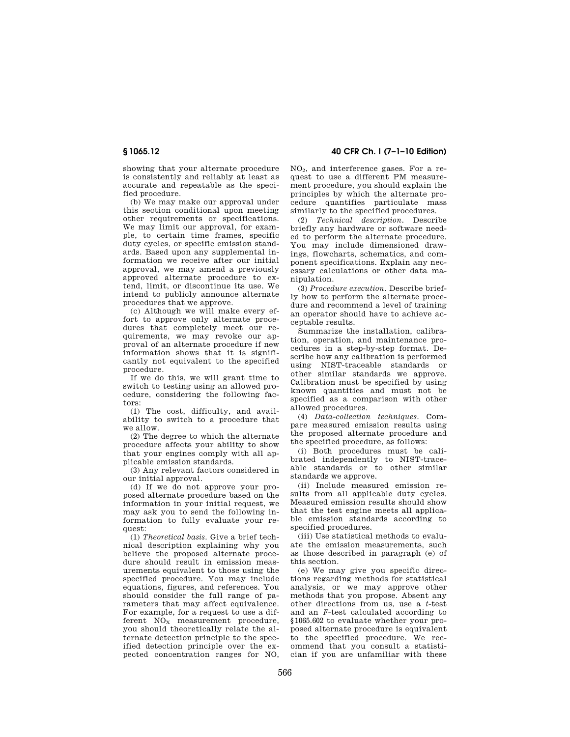showing that your alternate procedure is consistently and reliably at least as accurate and repeatable as the specified procedure.

(b) We may make our approval under this section conditional upon meeting other requirements or specifications. We may limit our approval, for example, to certain time frames, specific duty cycles, or specific emission standards. Based upon any supplemental information we receive after our initial approval, we may amend a previously approved alternate procedure to extend, limit, or discontinue its use. We intend to publicly announce alternate procedures that we approve.

(c) Although we will make every effort to approve only alternate procedures that completely meet our requirements, we may revoke our approval of an alternate procedure if new information shows that it is significantly not equivalent to the specified procedure.

If we do this, we will grant time to switch to testing using an allowed procedure, considering the following factors:

(1) The cost, difficulty, and availability to switch to a procedure that we allow.

(2) The degree to which the alternate procedure affects your ability to show that your engines comply with all applicable emission standards.

(3) Any relevant factors considered in our initial approval.

(d) If we do not approve your proposed alternate procedure based on the information in your initial request, we may ask you to send the following information to fully evaluate your request:

(1) *Theoretical basis*. Give a brief technical description explaining why you believe the proposed alternate procedure should result in emission measurements equivalent to those using the specified procedure. You may include equations, figures, and references. You should consider the full range of parameters that may affect equivalence. For example, for a request to use a dif $f$  ferent  $NO<sub>x</sub>$  measurement procedure, you should theoretically relate the alternate detection principle to the specified detection principle over the expected concentration ranges for NO,

# **§ 1065.12 40 CFR Ch. I (7–1–10 Edition)**

NO2, and interference gases. For a request to use a different PM measurement procedure, you should explain the principles by which the alternate procedure quantifies particulate mass similarly to the specified procedures.

(2) *Technical description.* Describe briefly any hardware or software needed to perform the alternate procedure. You may include dimensioned drawings, flowcharts, schematics, and component specifications. Explain any necessary calculations or other data manipulation.

(3) *Procedure execution.* Describe briefly how to perform the alternate procedure and recommend a level of training an operator should have to achieve acceptable results.

Summarize the installation, calibration, operation, and maintenance procedures in a step-by-step format. Describe how any calibration is performed using NIST-traceable standards or other similar standards we approve. Calibration must be specified by using known quantities and must not be specified as a comparison with other allowed procedures.

(4) *Data-collection techniques.* Compare measured emission results using the proposed alternate procedure and the specified procedure, as follows:

(i) Both procedures must be calibrated independently to NIST-traceable standards or to other similar standards we approve.

(ii) Include measured emission results from all applicable duty cycles. Measured emission results should show that the test engine meets all applicable emission standards according to specified procedures.

(iii) Use statistical methods to evaluate the emission measurements, such as those described in paragraph (e) of this section.

(e) We may give you specific directions regarding methods for statistical analysis, or we may approve other methods that you propose. Absent any other directions from us, use a *t*-test and an *F*-test calculated according to §1065.602 to evaluate whether your proposed alternate procedure is equivalent to the specified procedure. We recommend that you consult a statistician if you are unfamiliar with these